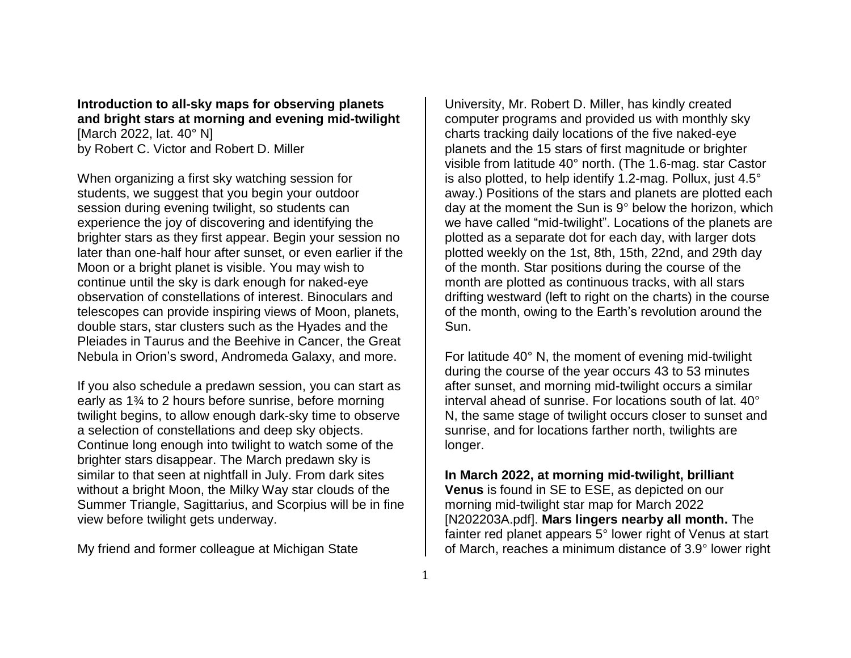**Introduction to all-sky maps for observing planets and bright stars at morning and evening mid-twilight** [March 2022, lat. 40° N] by Robert C. Victor and Robert D. Miller

When organizing a first sky watching session for students, we suggest that you begin your outdoor session during evening twilight, so students can experience the joy of discovering and identifying the brighter stars as they first appear. Begin your session no later than one-half hour after sunset, or even earlier if the Moon or a bright planet is visible. You may wish to continue until the sky is dark enough for naked-eye observation of constellations of interest. Binoculars and telescopes can provide inspiring views of Moon, planets, double stars, star clusters such as the Hyades and the Pleiades in Taurus and the Beehive in Cancer, the Great Nebula in Orion's sword, Andromeda Galaxy, and more.

If you also schedule a predawn session, you can start as early as 1¾ to 2 hours before sunrise, before morning twilight begins, to allow enough dark-sky time to observe a selection of constellations and deep sky objects. Continue long enough into twilight to watch some of the brighter stars disappear. The March predawn sky is similar to that seen at nightfall in July. From dark sites without a bright Moon, the Milky Way star clouds of the Summer Triangle, Sagittarius, and Scorpius will be in fine view before twilight gets underway.

My friend and former colleague at Michigan State

University, Mr. Robert D. Miller, has kindly created computer programs and provided us with monthly sky charts tracking daily locations of the five naked-eye planets and the 15 stars of first magnitude or brighter visible from latitude 40° north. (The 1.6-mag. star Castor is also plotted, to help identify 1.2-mag. Pollux, just 4.5° away.) Positions of the stars and planets are plotted each day at the moment the Sun is 9° below the horizon, which we have called "mid-twilight". Locations of the planets are plotted as a separate dot for each day, with larger dots plotted weekly on the 1st, 8th, 15th, 22nd, and 29th day of the month. Star positions during the course of the month are plotted as continuous tracks, with all stars drifting westward (left to right on the charts) in the course of the month, owing to the Earth's revolution around the Sun.

For latitude 40° N, the moment of evening mid-twilight during the course of the year occurs 43 to 53 minutes after sunset, and morning mid-twilight occurs a similar interval ahead of sunrise. For locations south of lat. 40° N, the same stage of twilight occurs closer to sunset and sunrise, and for locations farther north, twilights are longer.

**In March 2022, at morning mid-twilight, brilliant Venus** is found in SE to ESE, as depicted on our morning mid-twilight star map for March 2022

[N202203A.pdf]. **Mars lingers nearby all month.** The fainter red planet appears 5° lower right of Venus at start of March, reaches a minimum distance of 3.9° lower right